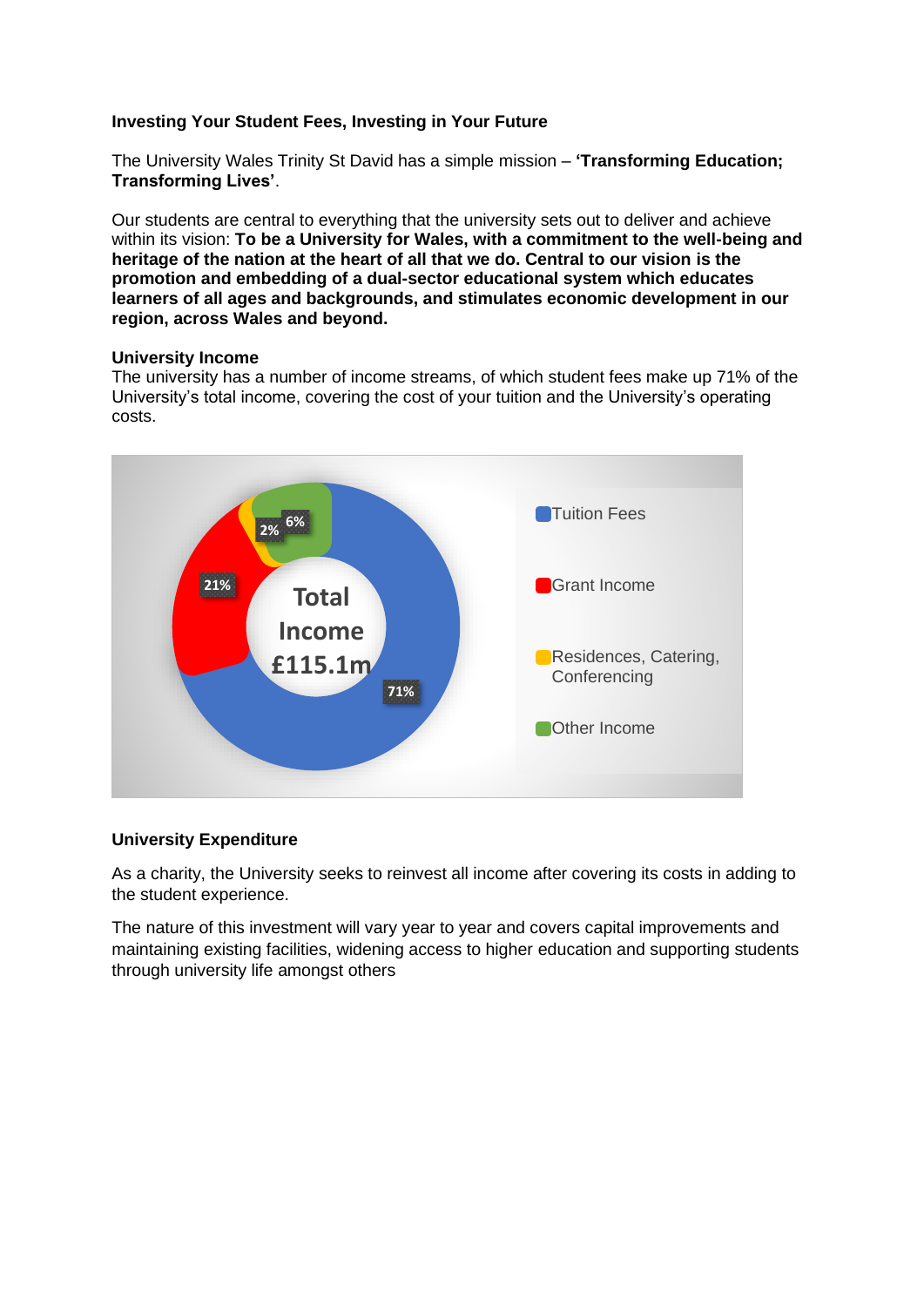## **Investing Your Student Fees, Investing in Your Future**

The University Wales Trinity St David has a simple mission – **'Transforming Education; Transforming Lives'**.

Our students are central to everything that the university sets out to deliver and achieve within its vision: **To be a University for Wales, with a commitment to the well-being and heritage of the nation at the heart of all that we do. Central to our vision is the promotion and embedding of a dual-sector educational system which educates learners of all ages and backgrounds, and stimulates economic development in our region, across Wales and beyond.**

## **University Income**

The university has a number of income streams, of which student fees make up 71% of the University's total income, covering the cost of your tuition and the University's operating costs.



## **University Expenditure**

As a charity, the University seeks to reinvest all income after covering its costs in adding to the student experience.

The nature of this investment will vary year to year and covers capital improvements and maintaining existing facilities, widening access to higher education and supporting students through university life amongst others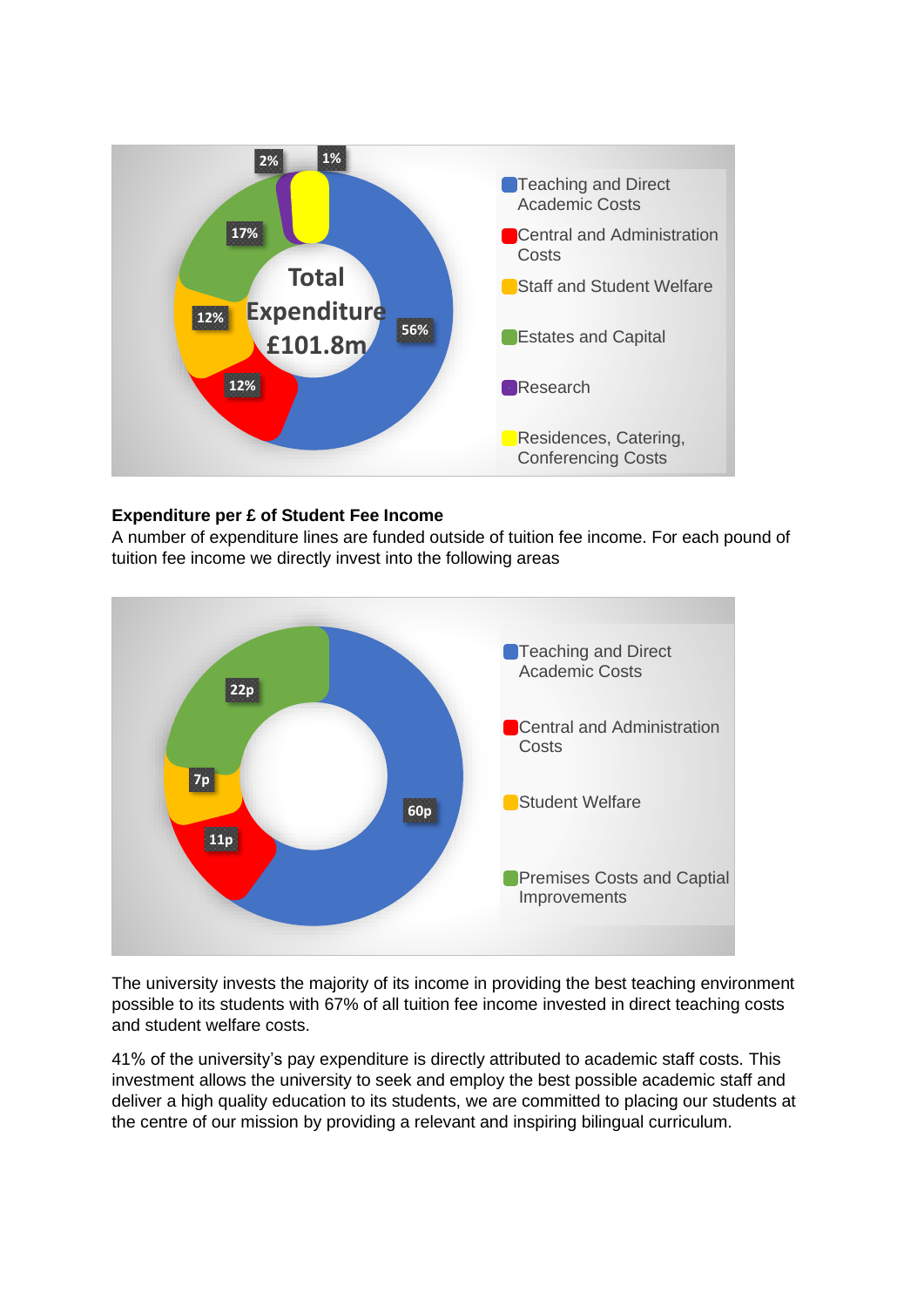

## **Expenditure per £ of Student Fee Income**

A number of expenditure lines are funded outside of tuition fee income. For each pound of tuition fee income we directly invest into the following areas



The university invests the majority of its income in providing the best teaching environment possible to its students with 67% of all tuition fee income invested in direct teaching costs and student welfare costs.

41% of the university's pay expenditure is directly attributed to academic staff costs. This investment allows the university to seek and employ the best possible academic staff and deliver a high quality education to its students, we are committed to placing our students at the centre of our mission by providing a relevant and inspiring bilingual curriculum.